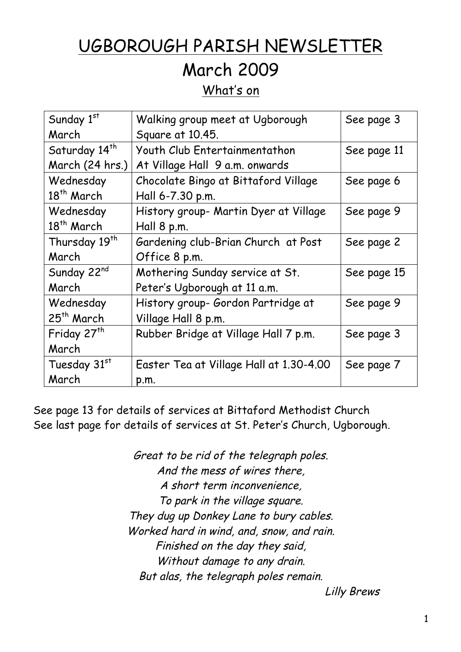# UGBOROUGH PARISH NEWSLETTER

## March 2009

## What's on

| Sunday 1st                | Walking group meet at Ugborough         | See page 3  |
|---------------------------|-----------------------------------------|-------------|
| March                     | Square at 10.45.                        |             |
| Saturday 14 <sup>th</sup> | Youth Club Entertainmentathon           | See page 11 |
| March (24 hrs.)           | At Village Hall 9 a.m. onwards          |             |
| Wednesday                 | Chocolate Bingo at Bittaford Village    | See page 6  |
| 18 <sup>th</sup> March    | Hall 6-7.30 p.m.                        |             |
| Wednesday                 | History group- Martin Dyer at Village   | See page 9  |
| 18 <sup>th</sup> March    | Hall 8 p.m.                             |             |
| Thursday 19 <sup>th</sup> | Gardening club-Brian Church at Post     | See page 2  |
| March                     | Office 8 p.m.                           |             |
| Sunday 22nd               | Mothering Sunday service at St.         | See page 15 |
| March                     | Peter's Ugborough at 11 a.m.            |             |
| Wednesday                 | History group- Gordon Partridge at      | See page 9  |
| $25th$ March              | Village Hall 8 p.m.                     |             |
| Friday 27 <sup>th</sup>   | Rubber Bridge at Village Hall 7 p.m.    | See page 3  |
| March                     |                                         |             |
| Tuesday 31st              | Easter Tea at Village Hall at 1.30-4.00 | See page 7  |
| March                     | p.m.                                    |             |

See page 13 for details of services at Bittaford Methodist Church See last page for details of services at St. Peter's Church, Ugborough.

> Great to be rid of the telegraph poles. And the mess of wires there, A short term inconvenience, To park in the village square. They dug up Donkey Lane to bury cables. Worked hard in wind, and, snow, and rain. Finished on the day they said, Without damage to any drain. But alas, the telegraph poles remain.

Lilly Brews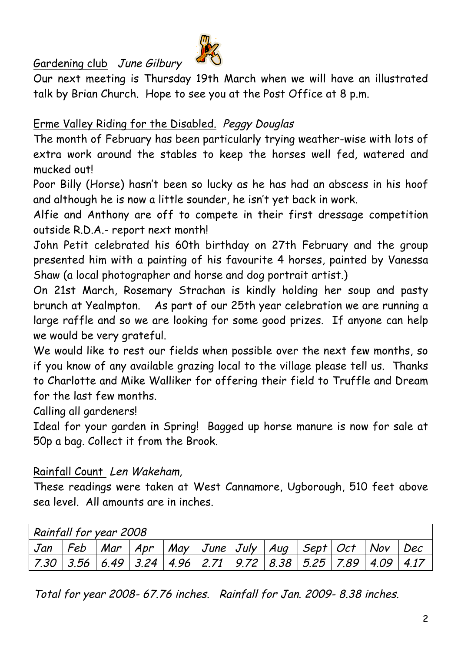Gardening club June Gilbury



Our next meeting is Thursday 19th March when we will have an illustrated talk by Brian Church. Hope to see you at the Post Office at 8 p.m.

## Erme Valley Riding for the Disabled. Peggy Douglas

The month of February has been particularly trying weather-wise with lots of extra work around the stables to keep the horses well fed, watered and mucked out!

Poor Billy (Horse) hasn't been so lucky as he has had an abscess in his hoof and although he is now a little sounder, he isn't yet back in work.

Alfie and Anthony are off to compete in their first dressage competition outside R.D.A.- report next month!

John Petit celebrated his 60th birthday on 27th February and the group presented him with a painting of his favourite 4 horses, painted by Vanessa Shaw (a local photographer and horse and dog portrait artist.)

On 21st March, Rosemary Strachan is kindly holding her soup and pasty brunch at Yealmpton. As part of our 25th year celebration we are running a large raffle and so we are looking for some good prizes. If anyone can help we would be very grateful.

We would like to rest our fields when possible over the next few months, so if you know of any available grazing local to the village please tell us. Thanks to Charlotte and Mike Walliker for offering their field to Truffle and Dream for the last few months.

Calling all gardeners!

Ideal for your garden in Spring! Bagged up horse manure is now for sale at 50p a bag. Collect it from the Brook.

Rainfall Count Len Wakeham,

These readings were taken at West Cannamore, Ugborough, 510 feet above sea level. All amounts are in inches.

| Rainfall for year 2008 |  |                                                                                   |  |  |  |
|------------------------|--|-----------------------------------------------------------------------------------|--|--|--|
|                        |  | Jan   Feb   Mar   Apr   May   June   July   Aug   Sept   Oct   Nov   Dec          |  |  |  |
|                        |  | 7.30   3.56   6.49   3.24   4.96   2.71   9.72   8.38   5.25   7.89   4.09   4.17 |  |  |  |

Total for year 2008- 67.76 inches. Rainfall for Jan. 2009- 8.38 inches.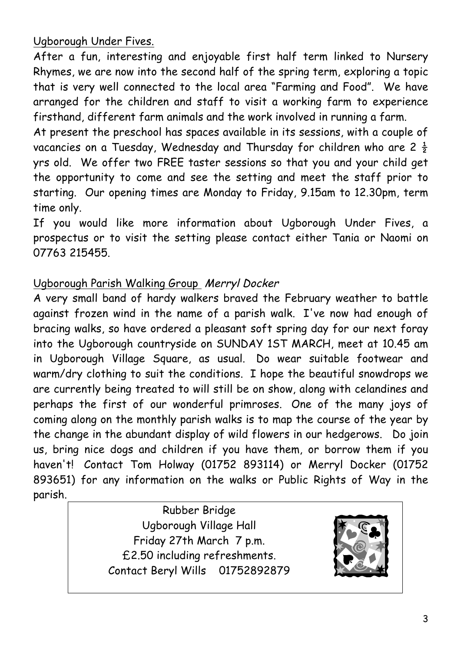Ugborough Under Fives.

After a fun, interesting and enjoyable first half term linked to Nursery Rhymes, we are now into the second half of the spring term, exploring a topic that is very well connected to the local area "Farming and Food". We have arranged for the children and staff to visit a working farm to experience firsthand, different farm animals and the work involved in running a farm.

At present the preschool has spaces available in its sessions, with a couple of vacancies on a Tuesday, Wednesday and Thursday for children who are  $2\frac{1}{2}$ yrs old. We offer two FREE taster sessions so that you and your child get the opportunity to come and see the setting and meet the staff prior to starting. Our opening times are Monday to Friday, 9.15am to 12.30pm, term time only.

If you would like more information about Ugborough Under Fives, a prospectus or to visit the setting please contact either Tania or Naomi on 07763 215455.

#### Ugborough Parish Walking Group Merryl Docker

A very small band of hardy walkers braved the February weather to battle against frozen wind in the name of a parish walk. I've now had enough of bracing walks, so have ordered a pleasant soft spring day for our next foray into the Ugborough countryside on SUNDAY 1ST MARCH, meet at 10.45 am in Ugborough Village Square, as usual. Do wear suitable footwear and warm/dry clothing to suit the conditions. I hope the beautiful snowdrops we are currently being treated to will still be on show, along with celandines and perhaps the first of our wonderful primroses. One of the many joys of coming along on the monthly parish walks is to map the course of the year by the change in the abundant display of wild flowers in our hedgerows. Do join us, bring nice dogs and children if you have them, or borrow them if you haven't! Contact Tom Holway (01752 893114) or Merryl Docker (01752 893651) for any information on the walks or Public Rights of Way in the parish.

> Rubber Bridge Ugborough Village Hall Friday 27th March 7 p.m. £2.50 including refreshments. Contact Beryl Wills 01752892879

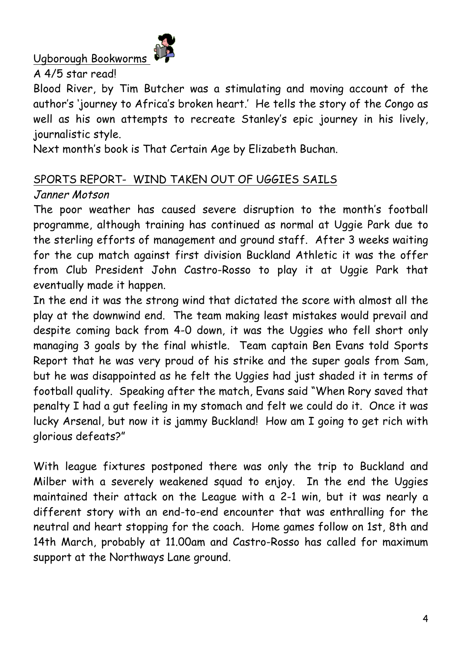Ugborough Bookworms



A 4/5 star read!

Blood River, by Tim Butcher was a stimulating and moving account of the author's 'journey to Africa's broken heart.' He tells the story of the Congo as well as his own attempts to recreate Stanley's epic journey in his lively, journalistic style.

Next month's book is That Certain Age by Elizabeth Buchan.

## SPORTS REPORT- WIND TAKEN OUT OF UGGIES SAILS

## Janner Motson

The poor weather has caused severe disruption to the month's football programme, although training has continued as normal at Uggie Park due to the sterling efforts of management and ground staff. After 3 weeks waiting for the cup match against first division Buckland Athletic it was the offer from Club President John Castro-Rosso to play it at Uggie Park that eventually made it happen.

In the end it was the strong wind that dictated the score with almost all the play at the downwind end. The team making least mistakes would prevail and despite coming back from 4-0 down, it was the Uggies who fell short only managing 3 goals by the final whistle. Team captain Ben Evans told Sports Report that he was very proud of his strike and the super goals from Sam, but he was disappointed as he felt the Uggies had just shaded it in terms of football quality. Speaking after the match, Evans said "When Rory saved that penalty I had a gut feeling in my stomach and felt we could do it. Once it was lucky Arsenal, but now it is jammy Buckland! How am I going to get rich with glorious defeats?"

With league fixtures postponed there was only the trip to Buckland and Milber with a severely weakened squad to enjoy. In the end the Uggies maintained their attack on the League with a 2-1 win, but it was nearly a different story with an end-to-end encounter that was enthralling for the neutral and heart stopping for the coach. Home games follow on 1st, 8th and 14th March, probably at 11.00am and Castro-Rosso has called for maximum support at the Northways Lane ground.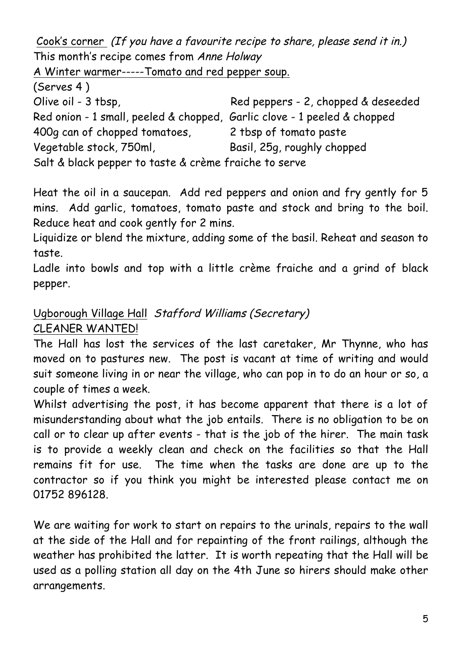Cook's corner (If you have a favourite recipe to share, please send it in.) This month's recipe comes from Anne Holway

A Winter warmer-----Tomato and red pepper soup.

(Serves 4 )

| Olive oil - 3 tbsp,                                                      | Red peppers - 2, chopped & deseeded |  |  |  |
|--------------------------------------------------------------------------|-------------------------------------|--|--|--|
| Red onion - 1 small, peeled & chopped, Garlic clove - 1 peeled & chopped |                                     |  |  |  |
| 400q can of chopped tomatoes,                                            | 2 tbsp of tomato paste              |  |  |  |
| Vegetable stock, 750ml,                                                  | Basil, 25g, roughly chopped         |  |  |  |
| Salt & black pepper to taste & crème fraiche to serve                    |                                     |  |  |  |

Heat the oil in a saucepan. Add red peppers and onion and fry gently for 5 mins. Add garlic, tomatoes, tomato paste and stock and bring to the boil. Reduce heat and cook gently for 2 mins.

Liquidize or blend the mixture, adding some of the basil. Reheat and season to taste.

Ladle into bowls and top with a little crème fraiche and a grind of black pepper.

## Ugborough Village Hall Stafford Williams (Secretary) CLEANER WANTED!

The Hall has lost the services of the last caretaker, Mr Thynne, who has moved on to pastures new. The post is vacant at time of writing and would suit someone living in or near the village, who can pop in to do an hour or so, a couple of times a week.

Whilst advertising the post, it has become apparent that there is a lot of misunderstanding about what the job entails. There is no obligation to be on call or to clear up after events - that is the job of the hirer. The main task is to provide a weekly clean and check on the facilities so that the Hall remains fit for use. The time when the tasks are done are up to the contractor so if you think you might be interested please contact me on 01752 896128.

We are waiting for work to start on repairs to the urinals, repairs to the wall at the side of the Hall and for repainting of the front railings, although the weather has prohibited the latter. It is worth repeating that the Hall will be used as a polling station all day on the 4th June so hirers should make other arrangements.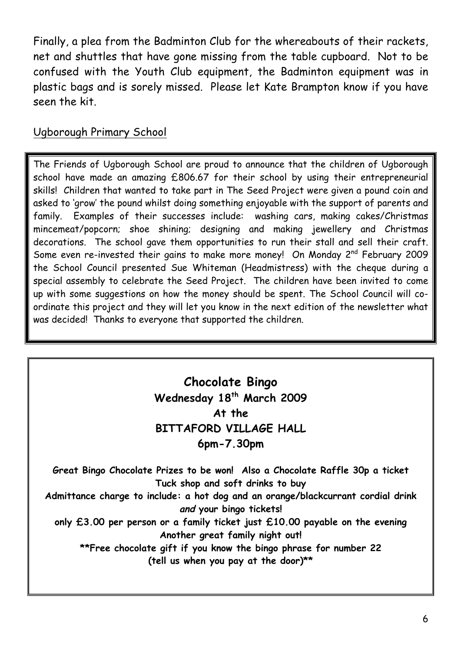Finally, a plea from the Badminton Club for the whereabouts of their rackets, net and shuttles that have gone missing from the table cupboard. Not to be confused with the Youth Club equipment, the Badminton equipment was in plastic bags and is sorely missed. Please let Kate Brampton know if you have seen the kit.

## Ugborough Primary School

The Friends of Ugborough School are proud to announce that the children of Ugborough school have made an amazing £806.67 for their school by using their entrepreneurial skills! Children that wanted to take part in The Seed Project were given a pound coin and asked to 'grow' the pound whilst doing something enjoyable with the support of parents and family. Examples of their successes include: washing cars, making cakes/Christmas mincemeat/popcorn; shoe shining; designing and making jewellery and Christmas decorations. The school gave them opportunities to run their stall and sell their craft. Some even re-invested their gains to make more money! On Monday 2<sup>nd</sup> February 2009 the School Council presented Sue Whiteman (Headmistress) with the cheque during a special assembly to celebrate the Seed Project. The children have been invited to come up with some suggestions on how the money should be spent. The School Council will coordinate this project and they will let you know in the next edition of the newsletter what was decided! Thanks to everyone that supported the children.

## **Chocolate Bingo Wednesday 18th March 2009 At the BITTAFORD VILLAGE HALL 6pm-7.30pm**

**Great Bingo Chocolate Prizes to be won! Also a Chocolate Raffle 30p a ticket Tuck shop and soft drinks to buy Admittance charge to include: a hot dog and an orange/blackcurrant cordial drink and your bingo tickets! only £3.00 per person or a family ticket just £10.00 payable on the evening Another great family night out! \*\*Free chocolate gift if you know the bingo phrase for number 22 (tell us when you pay at the door)\*\***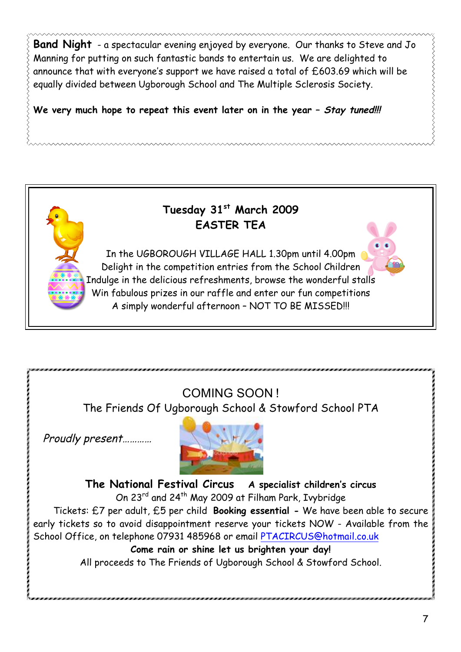**Band Night** - a spectacular evening enjoyed by everyone. Our thanks to Steve and Jo Manning for putting on such fantastic bands to entertain us. We are delighted to announce that with everyone's support we have raised a total of £603.69 which will be equally divided between Ugborough School and The Multiple Sclerosis Society.

**We very much hope to repeat this event later on in the year – Stay tuned!!!**



## COMING SOON !

The Friends Of Ugborough School & Stowford School PTA

Proudly present…………



**The National Festival Circus A specialist children's circus** On 23rd and 24th May 2009 at Filham Park, Ivybridge Tickets: £7 per adult, £5 per child **Booking essential -** We have been able to secure early tickets so to avoid disappointment reserve your tickets NOW - Available from the School Office, on telephone 07931 485968 or email PTACIRCUS@hotmail.co.uk **Come rain or shine let us brighten your day!** All proceeds to The Friends of Ugborough School & Stowford School.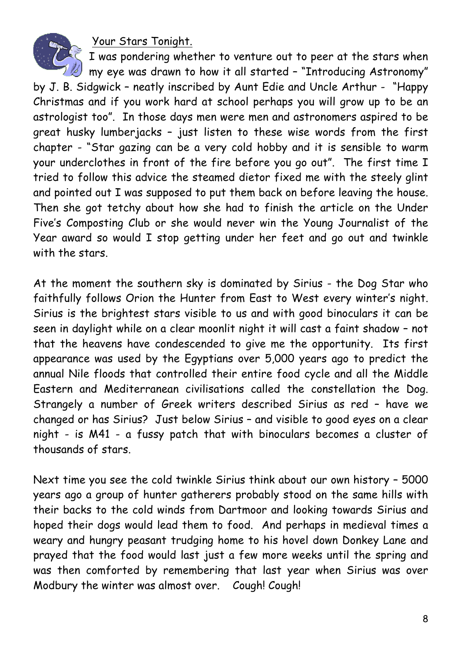Your Stars Tonight.



I was pondering whether to venture out to peer at the stars when  $\mathbb Z$  my eye was drawn to how it all started - "Introducing Astronomy"

by J. B. Sidgwick – neatly inscribed by Aunt Edie and Uncle Arthur - "Happy Christmas and if you work hard at school perhaps you will grow up to be an astrologist too". In those days men were men and astronomers aspired to be great husky lumberjacks – just listen to these wise words from the first chapter - "Star gazing can be a very cold hobby and it is sensible to warm your underclothes in front of the fire before you go out". The first time I tried to follow this advice the steamed dietor fixed me with the steely glint and pointed out I was supposed to put them back on before leaving the house. Then she got tetchy about how she had to finish the article on the Under Five's Composting Club or she would never win the Young Journalist of the Year award so would I stop getting under her feet and go out and twinkle with the stars.

At the moment the southern sky is dominated by Sirius - the Dog Star who faithfully follows Orion the Hunter from East to West every winter's night. Sirius is the brightest stars visible to us and with good binoculars it can be seen in daylight while on a clear moonlit night it will cast a faint shadow – not that the heavens have condescended to give me the opportunity. Its first appearance was used by the Egyptians over 5,000 years ago to predict the annual Nile floods that controlled their entire food cycle and all the Middle Eastern and Mediterranean civilisations called the constellation the Dog. Strangely a number of Greek writers described Sirius as red – have we changed or has Sirius? Just below Sirius – and visible to good eyes on a clear night - is M41 - a fussy patch that with binoculars becomes a cluster of thousands of stars.

Next time you see the cold twinkle Sirius think about our own history – 5000 years ago a group of hunter gatherers probably stood on the same hills with their backs to the cold winds from Dartmoor and looking towards Sirius and hoped their dogs would lead them to food. And perhaps in medieval times a weary and hungry peasant trudging home to his hovel down Donkey Lane and prayed that the food would last just a few more weeks until the spring and was then comforted by remembering that last year when Sirius was over Modbury the winter was almost over. Cough! Cough!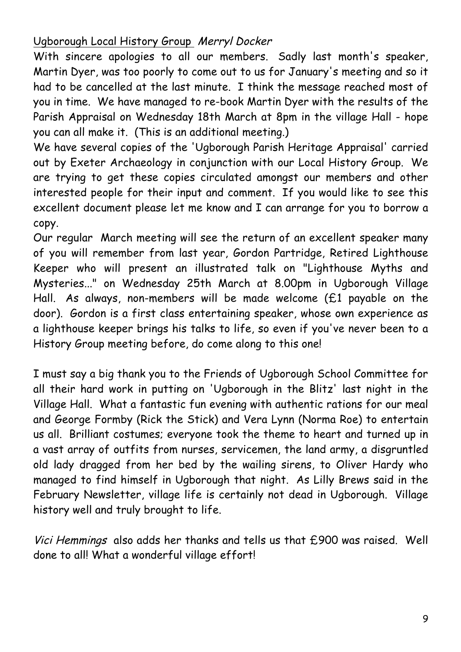## Ugborough Local History Group Merryl Docker

With sincere apologies to all our members. Sadly last month's speaker, Martin Dyer, was too poorly to come out to us for January's meeting and so it had to be cancelled at the last minute. I think the message reached most of you in time. We have managed to re-book Martin Dyer with the results of the Parish Appraisal on Wednesday 18th March at 8pm in the village Hall - hope you can all make it. (This is an additional meeting.)

We have several copies of the 'Ugborough Parish Heritage Appraisal' carried out by Exeter Archaeology in conjunction with our Local History Group. We are trying to get these copies circulated amongst our members and other interested people for their input and comment. If you would like to see this excellent document please let me know and I can arrange for you to borrow a copy.

Our regular March meeting will see the return of an excellent speaker many of you will remember from last year, Gordon Partridge, Retired Lighthouse Keeper who will present an illustrated talk on "Lighthouse Myths and Mysteries..." on Wednesday 25th March at 8.00pm in Ugborough Village Hall. As always, non-members will be made welcome (£1 payable on the door). Gordon is a first class entertaining speaker, whose own experience as a lighthouse keeper brings his talks to life, so even if you've never been to a History Group meeting before, do come along to this one!

I must say a big thank you to the Friends of Ugborough School Committee for all their hard work in putting on 'Ugborough in the Blitz' last night in the Village Hall. What a fantastic fun evening with authentic rations for our meal and George Formby (Rick the Stick) and Vera Lynn (Norma Roe) to entertain us all. Brilliant costumes; everyone took the theme to heart and turned up in a vast array of outfits from nurses, servicemen, the land army, a disgruntled old lady dragged from her bed by the wailing sirens, to Oliver Hardy who managed to find himself in Ugborough that night. As Lilly Brews said in the February Newsletter, village life is certainly not dead in Ugborough. Village history well and truly brought to life.

Vici Hemmings also adds her thanks and tells us that £900 was raised. Well done to all! What a wonderful village effort!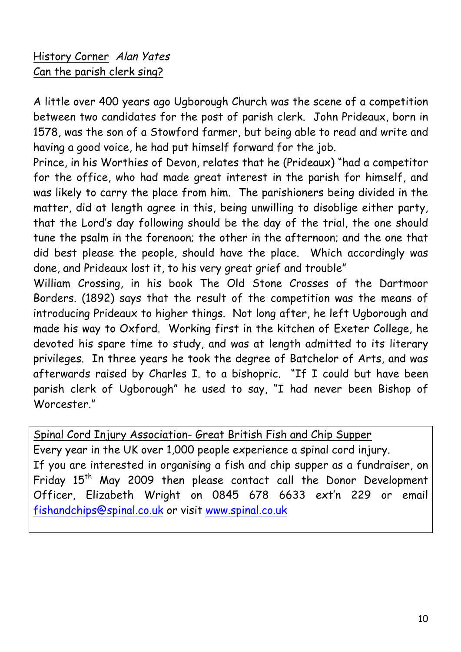## History Corner Alan Yates Can the parish clerk sing?

A little over 400 years ago Ugborough Church was the scene of a competition between two candidates for the post of parish clerk. John Prideaux, born in 1578, was the son of a Stowford farmer, but being able to read and write and having a good voice, he had put himself forward for the job.

Prince, in his Worthies of Devon, relates that he (Prideaux) "had a competitor for the office, who had made great interest in the parish for himself, and was likely to carry the place from him. The parishioners being divided in the matter, did at length agree in this, being unwilling to disoblige either party, that the Lord's day following should be the day of the trial, the one should tune the psalm in the forenoon; the other in the afternoon; and the one that did best please the people, should have the place. Which accordingly was done, and Prideaux lost it, to his very great grief and trouble"

William Crossing, in his book The Old Stone Crosses of the Dartmoor Borders. (1892) says that the result of the competition was the means of introducing Prideaux to higher things. Not long after, he left Ugborough and made his way to Oxford. Working first in the kitchen of Exeter College, he devoted his spare time to study, and was at length admitted to its literary privileges. In three years he took the degree of Batchelor of Arts, and was afterwards raised by Charles I. to a bishopric. "If I could but have been parish clerk of Ugborough" he used to say, "I had never been Bishop of Worcester"

Spinal Cord Injury Association- Great British Fish and Chip Supper Every year in the UK over 1,000 people experience a spinal cord injury. If you are interested in organising a fish and chip supper as a fundraiser, on Friday 15<sup>th</sup> May 2009 then please contact call the Donor Development Officer, Elizabeth Wright on 0845 678 6633 ext'n 229 or email fishandchips@spinal.co.uk or visit www.spinal.co.uk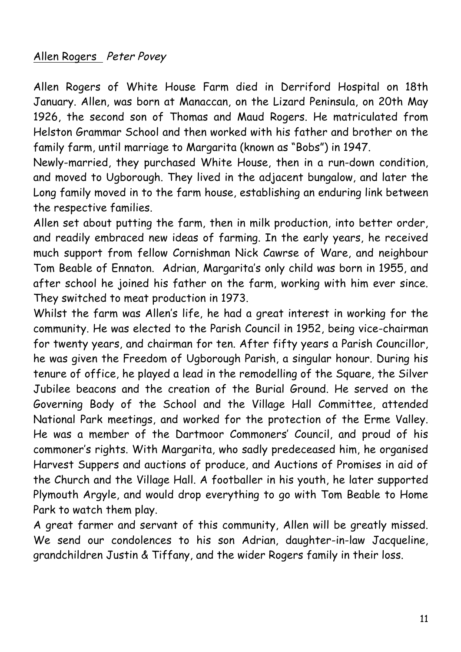## Allen Rogers Peter Povey

Allen Rogers of White House Farm died in Derriford Hospital on 18th January. Allen, was born at Manaccan, on the Lizard Peninsula, on 20th May 1926, the second son of Thomas and Maud Rogers. He matriculated from Helston Grammar School and then worked with his father and brother on the family farm, until marriage to Margarita (known as "Bobs") in 1947.

Newly-married, they purchased White House, then in a run-down condition, and moved to Ugborough. They lived in the adjacent bungalow, and later the Long family moved in to the farm house, establishing an enduring link between the respective families.

Allen set about putting the farm, then in milk production, into better order, and readily embraced new ideas of farming. In the early years, he received much support from fellow Cornishman Nick Cawrse of Ware, and neighbour Tom Beable of Ennaton. Adrian, Margarita's only child was born in 1955, and after school he joined his father on the farm, working with him ever since. They switched to meat production in 1973.

Whilst the farm was Allen's life, he had a great interest in working for the community. He was elected to the Parish Council in 1952, being vice-chairman for twenty years, and chairman for ten. After fifty years a Parish Councillor, he was given the Freedom of Ugborough Parish, a singular honour. During his tenure of office, he played a lead in the remodelling of the Square, the Silver Jubilee beacons and the creation of the Burial Ground. He served on the Governing Body of the School and the Village Hall Committee, attended National Park meetings, and worked for the protection of the Erme Valley. He was a member of the Dartmoor Commoners' Council, and proud of his commoner's rights. With Margarita, who sadly predeceased him, he organised Harvest Suppers and auctions of produce, and Auctions of Promises in aid of the Church and the Village Hall. A footballer in his youth, he later supported Plymouth Argyle, and would drop everything to go with Tom Beable to Home Park to watch them play.

A great farmer and servant of this community, Allen will be greatly missed. We send our condolences to his son Adrian, daughter-in-law Jacqueline, grandchildren Justin & Tiffany, and the wider Rogers family in their loss.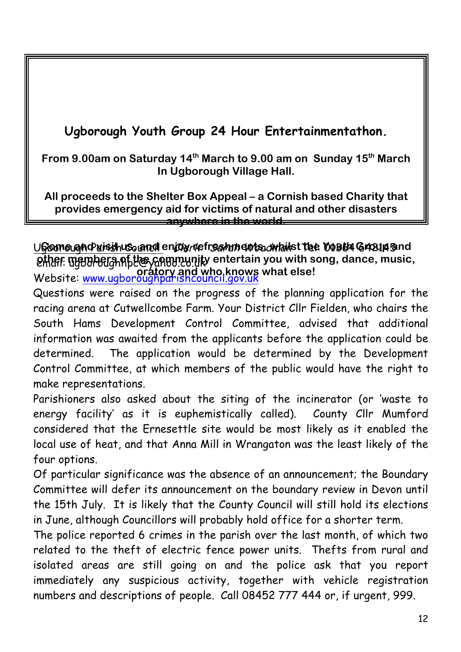## **Ugborough Youth Group 24 Hour Entertainmentathon.**

**From 9.00am on Saturday 14th March to 9.00 am on Sunday 15th March In Ugborough Village Hall.**

**All proceeds to the Shelter Box Appeal – a Cornish based Charity that provides emergency aid for victims of natural and other disasters anywhere in the world.**

<u>UGloome aghd aisith us, and enjoy refres hments, whailst the Youth Group and</u> **either members of the community entertain you with song, dance, music,** Website: www.ugboroughparishcouncil.gov.uk **oratory and who knows what else!**

Questions were raised on the progress of the planning application for the racing arena at Cutwellcombe Farm. Your District Cllr Fielden, who chairs the South Hams Development Control Committee, advised that additional information was awaited from the applicants before the application could be determined. The application would be determined by the Development Control Committee, at which members of the public would have the right to make representations.

Parishioners also asked about the siting of the incinerator (or 'waste to energy facility' as it is euphemistically called). County Cllr Mumford considered that the Ernesettle site would be most likely as it enabled the local use of heat, and that Anna Mill in Wrangaton was the least likely of the four options.

Of particular significance was the absence of an announcement; the Boundary Committee will defer its announcement on the boundary review in Devon until the 15th July. It is likely that the County Council will still hold its elections in June, although Councillors will probably hold office for a shorter term.

The police reported 6 crimes in the parish over the last month, of which two related to the theft of electric fence power units. Thefts from rural and isolated areas are still going on and the police ask that you report immediately any suspicious activity, together with vehicle registration numbers and descriptions of people. Call 08452 777 444 or, if urgent, 999.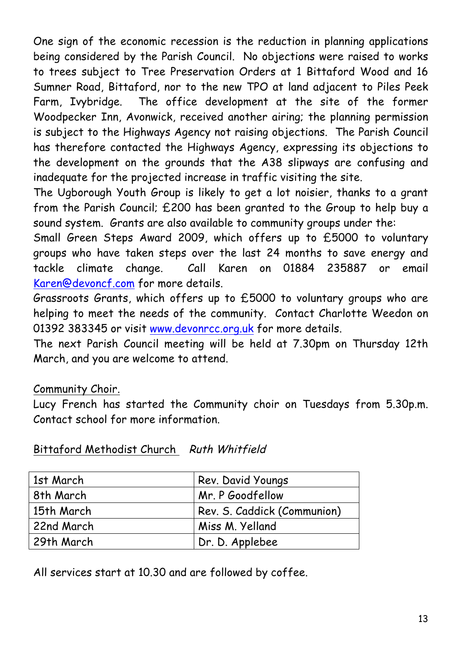One sign of the economic recession is the reduction in planning applications being considered by the Parish Council. No objections were raised to works to trees subject to Tree Preservation Orders at 1 Bittaford Wood and 16 Sumner Road, Bittaford, nor to the new TPO at land adjacent to Piles Peek Farm, Ivybridge. The office development at the site of the former Woodpecker Inn, Avonwick, received another airing; the planning permission is subject to the Highways Agency not raising objections. The Parish Council has therefore contacted the Highways Agency, expressing its objections to the development on the grounds that the A38 slipways are confusing and inadequate for the projected increase in traffic visiting the site.

The Ugborough Youth Group is likely to get a lot noisier, thanks to a grant from the Parish Council; £200 has been granted to the Group to help buy a sound system. Grants are also available to community groups under the:

Small Green Steps Award 2009, which offers up to £5000 to voluntary groups who have taken steps over the last 24 months to save energy and tackle climate change. Call Karen on 01884 235887 or email Karen@devoncf.com for more details.

Grassroots Grants, which offers up to £5000 to voluntary groups who are helping to meet the needs of the community. Contact Charlotte Weedon on 01392 383345 or visit www.devonrcc.org.uk for more details.

The next Parish Council meeting will be held at 7.30pm on Thursday 12th March, and you are welcome to attend.

## Community Choir.

Lucy French has started the Community choir on Tuesdays from 5.30p.m. Contact school for more information.

| 1st March  | Rev. David Youngs           |
|------------|-----------------------------|
| 8th March  | Mr. P Goodfellow            |
| 15th March | Rev. S. Caddick (Communion) |
| 22nd March | Miss M. Yelland             |
| 29th March | Dr. D. Applebee             |

Bittaford Methodist Church Ruth Whitfield

All services start at 10.30 and are followed by coffee.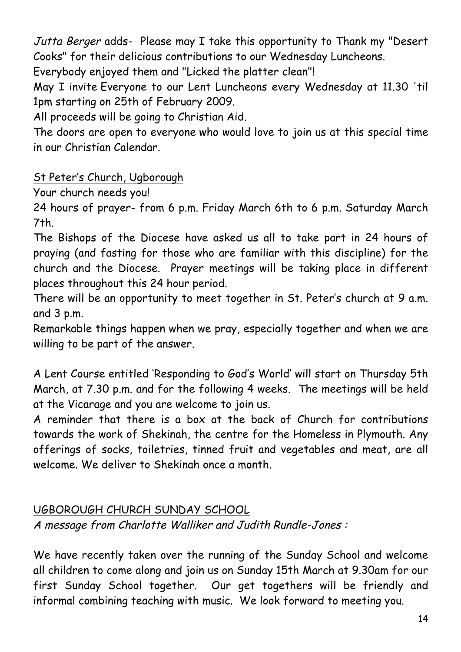Jutta Berger adds- Please may I take this opportunity to Thank my "Desert Cooks" for their delicious contributions to our Wednesday Luncheons.

Everybody enjoyed them and "Licked the platter clean"!

May I invite Everyone to our Lent Luncheons every Wednesday at 11.30 'til 1pm starting on 25th of February 2009.

All proceeds will be going to Christian Aid.

The doors are open to everyone who would love to join us at this special time in our Christian Calendar.

## St Peter's Church, Ugborough

Your church needs you!

24 hours of prayer- from 6 p.m. Friday March 6th to 6 p.m. Saturday March 7th.

The Bishops of the Diocese have asked us all to take part in 24 hours of praying (and fasting for those who are familiar with this discipline) for the church and the Diocese. Prayer meetings will be taking place in different places throughout this 24 hour period.

There will be an opportunity to meet together in St. Peter's church at 9 a.m. and 3 p.m.

Remarkable things happen when we pray, especially together and when we are willing to be part of the answer.

A Lent Course entitled 'Responding to God's World' will start on Thursday 5th March, at 7.30 p.m. and for the following 4 weeks. The meetings will be held at the Vicarage and you are welcome to join us.

A reminder that there is a box at the back of Church for contributions towards the work of Shekinah, the centre for the Homeless in Plymouth. Any offerings of socks, toiletries, tinned fruit and vegetables and meat, are all welcome. We deliver to Shekinah once a month.

## UGBOROUGH CHURCH SUNDAY SCHOOL A message from Charlotte Walliker and Judith Rundle-Jones :

We have recently taken over the running of the Sunday School and welcome all children to come along and join us on Sunday 15th March at 9.30am for our first Sunday School together. Our get togethers will be friendly and informal combining teaching with music. We look forward to meeting you.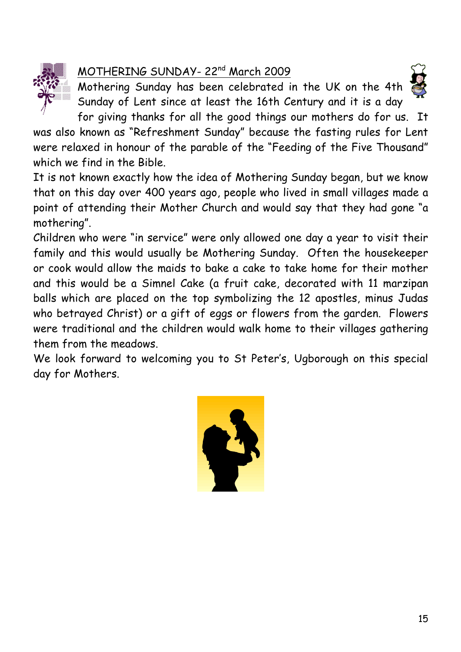

## MOTHERING SUNDAY- 22nd March 2009

Mothering Sunday has been celebrated in the UK on the 4th Sunday of Lent since at least the 16th Century and it is a day



for giving thanks for all the good things our mothers do for us. It was also known as "Refreshment Sunday" because the fasting rules for Lent were relaxed in honour of the parable of the "Feeding of the Five Thousand" which we find in the Bible.

It is not known exactly how the idea of Mothering Sunday began, but we know that on this day over 400 years ago, people who lived in small villages made a point of attending their Mother Church and would say that they had gone "a mothering".

Children who were "in service" were only allowed one day a year to visit their family and this would usually be Mothering Sunday. Often the housekeeper or cook would allow the maids to bake a cake to take home for their mother and this would be a Simnel Cake (a fruit cake, decorated with 11 marzipan balls which are placed on the top symbolizing the 12 apostles, minus Judas who betrayed Christ) or a gift of eggs or flowers from the garden. Flowers were traditional and the children would walk home to their villages gathering them from the meadows.

We look forward to welcoming you to St Peter's, Ugborough on this special day for Mothers.